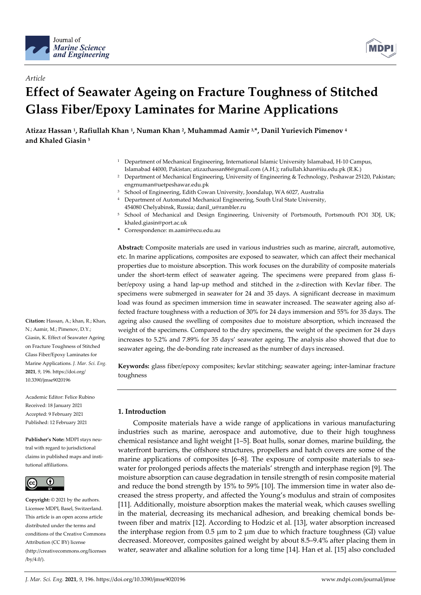

*Article*



# **Effect of Seawater Ageing on Fracture Toughness of Stitched Glass Fiber/Epoxy Laminates for Marine Applications**

**Atizaz Hassan 1, Rafiullah Khan 1, Numan Khan 2, Muhammad Aamir 3,\*, Danil Yurievich Pimenov 4 and Khaled Giasin 5**

- <sup>1</sup> Department of Mechanical Engineering, International Islamic University Islamabad, H-10 Campus, Islamabad 44000, Pakistan[; atizazhassan86@gmail.com](mailto:atizazhassan86@gmail.com) (A.H.); rafiullah.khan@iiu.edu.pk (R.K.)
- <sup>2</sup> Department of Mechanical Engineering, University of Engineering & Technology, Peshawar 25120, Pakistan; [engrnuman@uetpeshawar.edu.pk](mailto:engrnuman@uetpeshawar.edu.pk)
- <sup>3</sup> School of Engineering, Edith Cowan University, Joondalup, WA 6027, Australia
- <sup>4</sup> Department of Automated Mechanical Engineering, South Ural State University, 454080 Chelyabinsk, Russia; [danil\\_u@rambler.ru](mailto:danil_u@rambler.ru)
- <sup>5</sup> School of Mechanical and Design Engineering, University of Portsmouth, Portsmouth PO1 3DJ, UK; [khaled.giasin@port.ac.uk](mailto:khaled.giasin@port.ac.uk)
- **\*** Correspondence[: m.aamir@ecu.edu.au](mailto:m.aamir@ecu.edu.au)

**Abstract:** Composite materials are used in various industries such as marine, aircraft, automotive, etc. In marine applications, composites are exposed to seawater, which can affect their mechanical properties due to moisture absorption. This work focuses on the durability of composite materials under the short-term effect of seawater ageing. The specimens were prepared from glass fiber/epoxy using a hand lap-up method and stitched in the z-direction with Kevlar fiber. The specimens were submerged in seawater for 24 and 35 days. A significant decrease in maximum load was found as specimen immersion time in seawater increased. The seawater ageing also affected fracture toughness with a reduction of 30% for 24 days immersion and 55% for 35 days. The ageing also caused the swelling of composites due to moisture absorption, which increased the weight of the specimens. Compared to the dry specimens, the weight of the specimen for 24 days increases to 5.2% and 7.89% for 35 days' seawater ageing. The analysis also showed that due to seawater ageing, the de-bonding rate increased as the number of days increased.

**Keywords:** glass fiber/epoxy composites; kevlar stitching; seawater ageing; inter-laminar fracture toughness

## **1. Introduction**

Composite materials have a wide range of applications in various manufacturing industries such as marine, aerospace and automotive, due to their high toughness chemical resistance and light weight [1–5]. Boat hulls, sonar domes, marine building, the waterfront barriers, the offshore structures, propellers and hatch covers are some of the marine applications of composites [6–8]. The exposure of composite materials to seawater for prolonged periods affects the materials' strength and interphase region [9]. The moisture absorption can cause degradation in tensile strength of resin composite material and reduce the bond strength by 15% to 59% [10]. The immersion time in water also decreased the stress property, and affected the Young's modulus and strain of composites [11]. Additionally, moisture absorption makes the material weak, which causes swelling in the material, decreasing its mechanical adhesion, and breaking chemical bonds between fiber and matrix [12]. According to Hodzic et al. [13], water absorption increased the interphase region from 0.5  $\mu$ m to 2  $\mu$ m due to which fracture toughness (GI) value decreased. Moreover, composites gained weight by about 8.5–9.4% after placing them in water, seawater and alkaline solution for a long time [14]. Han et al. [15] also concluded

**Citation:** Hassan, A.; khan, R.; Khan, N.; Aamir, M.; Pimenov, D.Y.; Giasin, K. Effect of Seawater Ageing on Fracture Toughness of Stitched Glass Fiber/Epoxy Laminates for Marine Applications. *J. Mar. Sci. Eng.*  **2021**, *9*, 196. https://doi.org/ 10.3390/jmse9020196

Academic Editor: Felice Rubino Received: 18 January 2021 Accepted: 9 February 2021 Published: 12 February 2021

**Publisher's Note:** MDPI stays neutral with regard to jurisdictional claims in published maps and institutional affiliations.



**Copyright:** © 2021 by the authors. Licensee MDPI, Basel, Switzerland. This article is an open access article distributed under the terms and conditions of the Creative Commons Attribution (CC BY) license (http://creativecommons.org/licenses /by/4.0/).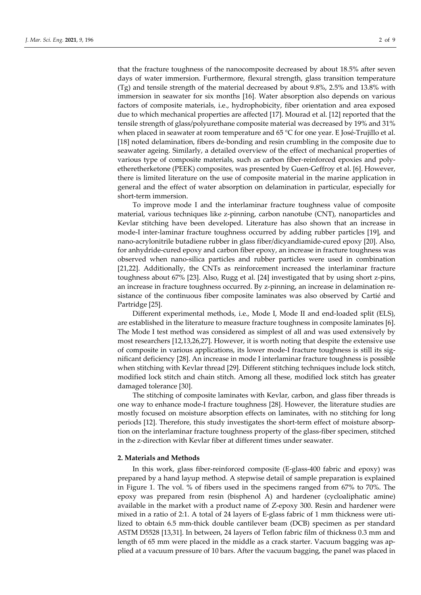that the fracture toughness of the nanocomposite decreased by about 18.5% after seven days of water immersion. Furthermore, flexural strength, glass transition temperature (Tg) and tensile strength of the material decreased by about 9.8%, 2.5% and 13.8% with immersion in seawater for six months [16]. Water absorption also depends on various factors of composite materials, i.e., hydrophobicity, fiber orientation and area exposed due to which mechanical properties are affected [17]. Mourad et al. [12] reported that the tensile strength of glass/polyurethane composite material was decreased by 19% and 31% when placed in seawater at room temperature and  $65^{\circ}$ C for one year. E José-Trujillo et al. [18] noted delamination, fibers de-bonding and resin crumbling in the composite due to seawater ageing. Similarly, a detailed overview of the effect of mechanical properties of various type of composite materials, such as carbon fiber-reinforced epoxies and polyetheretherketone (PEEK) composites, was presented by Guen-Geffroy et al. [6]. However, there is limited literature on the use of composite material in the marine application in general and the effect of water absorption on delamination in particular, especially for short-term immersion.

To improve mode I and the interlaminar fracture toughness value of composite material, various techniques like z-pinning, carbon nanotube (CNT), nanoparticles and Kevlar stitching have been developed. Literature has also shown that an increase in mode-I inter-laminar fracture toughness occurred by adding rubber particles [19], and nano-acrylonitrile butadiene rubber in glass fiber/dicyandiamide-cured epoxy [20]. Also, for anhydride-cured epoxy and carbon fiber epoxy, an increase in fracture toughness was observed when nano-silica particles and rubber particles were used in combination [21,22]. Additionally, the CNTs as reinforcement increased the interlaminar fracture toughness about 67% [23]. Also, Rugg et al. [24] investigated that by using short z-pins, an increase in fracture toughness occurred. By z-pinning, an increase in delamination resistance of the continuous fiber composite laminates was also observed by Cartié and Partridge [25].

Different experimental methods, i.e., Mode I, Mode II and end-loaded split (ELS), are established in the literature to measure fracture toughness in composite laminates [6]. The Mode I test method was considered as simplest of all and was used extensively by most researchers [12,13,26,27]. However, it is worth noting that despite the extensive use of composite in various applications, its lower mode-I fracture toughness is still its significant deficiency [28]. An increase in mode I interlaminar fracture toughness is possible when stitching with Kevlar thread [29]. Different stitching techniques include lock stitch, modified lock stitch and chain stitch. Among all these, modified lock stitch has greater damaged tolerance [30].

The stitching of composite laminates with Kevlar, carbon, and glass fiber threads is one way to enhance mode-I fracture toughness [28]. However, the literature studies are mostly focused on moisture absorption effects on laminates, with no stitching for long periods [12]. Therefore, this study investigates the short-term effect of moisture absorption on the interlaminar fracture toughness property of the glass-fiber specimen, stitched in the z-direction with Kevlar fiber at different times under seawater.

### **2. Materials and Methods**

In this work, glass fiber-reinforced composite (E-glass-400 fabric and epoxy) was prepared by a hand layup method. A stepwise detail of sample preparation is explained in Figure 1. The vol. % of fibers used in the specimens ranged from 67% to 70%. The epoxy was prepared from resin (bisphenol A) and hardener (cycloaliphatic amine) available in the market with a product name of Z-epoxy 300. Resin and hardener were mixed in a ratio of 2:1. A total of 24 layers of E-glass fabric of 1 mm thickness were utilized to obtain 6.5 mm-thick double cantilever beam (DCB) specimen as per standard ASTM D5528 [13,31]. In between, 24 layers of Teflon fabric film of thickness 0.3 mm and length of 65 mm were placed in the middle as a crack starter. Vacuum bagging was applied at a vacuum pressure of 10 bars. After the vacuum bagging, the panel was placed in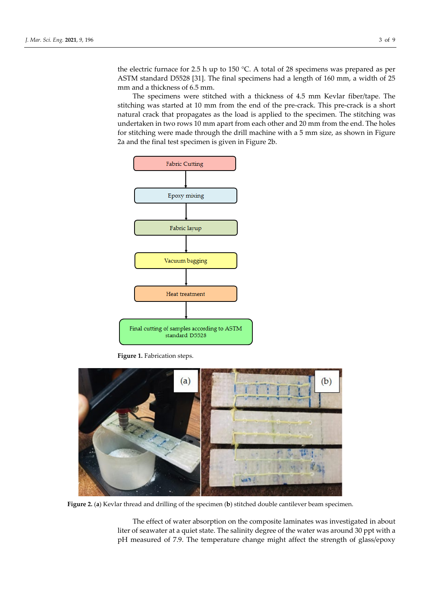the electric furnace for 2.5 h up to 150 °C. A total of 28 specimens was prepared as per ASTM standard D5528 [31]. The final specimens had a length of 160 mm, a width of 25 mm and a thickness of 6.5 mm.

The specimens were stitched with a thickness of 4.5 mm Kevlar fiber/tape. The stitching was started at 10 mm from the end of the pre-crack. This pre-crack is a short natural crack that propagates as the load is applied to the specimen. The stitching was undertaken in two rows 10 mm apart from each other and 20 mm from the end. The holes for stitching were made through the drill machine with a 5 mm size, as shown in Figure 2a and the final test specimen is given in Figure 2b.



**Figure 1.** Fabrication steps.



**Figure 2.** (**a**) Kevlar thread and drilling of the specimen (**b**) stitched double cantilever beam specimen.

The effect of water absorption on the composite laminates was investigated in about liter of seawater at a quiet state. The salinity degree of the water was around 30 ppt with a pH measured of 7.9. The temperature change might affect the strength of glass/epoxy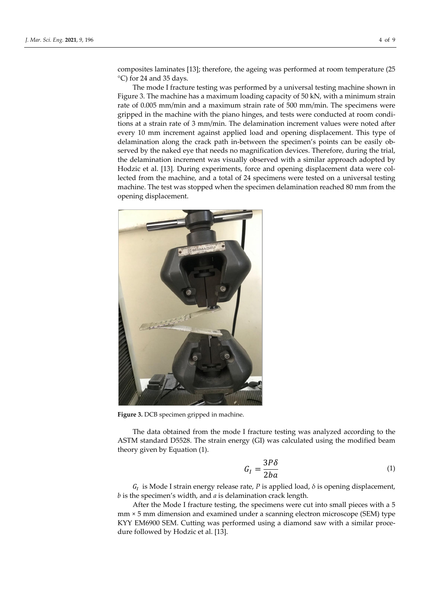composites laminates [13]; therefore, the ageing was performed at room temperature (25 °C) for 24 and 35 days.

The mode I fracture testing was performed by a universal testing machine shown in Figure 3. The machine has a maximum loading capacity of 50 kN, with a minimum strain rate of 0.005 mm/min and a maximum strain rate of 500 mm/min. The specimens were gripped in the machine with the piano hinges, and tests were conducted at room conditions at a strain rate of 3 mm/min. The delamination increment values were noted after every 10 mm increment against applied load and opening displacement. This type of delamination along the crack path in-between the specimen's points can be easily observed by the naked eye that needs no magnification devices. Therefore, during the trial, the delamination increment was visually observed with a similar approach adopted by Hodzic et al. [13]. During experiments, force and opening displacement data were collected from the machine, and a total of 24 specimens were tested on a universal testing machine. The test was stopped when the specimen delamination reached 80 mm from the opening displacement.



**Figure 3.** DCB specimen gripped in machine.

The data obtained from the mode I fracture testing was analyzed according to the ASTM standard D5528. The strain energy (GI) was calculated using the modified beam theory given by Equation (1).

$$
G_I = \frac{3P\delta}{2ba} \tag{1}
$$

 $G_I$  is Mode I strain energy release rate, *P* is applied load,  $\delta$  is opening displacement, *b* is the specimen's width, and *a* is delamination crack length.

After the Mode I fracture testing, the specimens were cut into small pieces with a 5 mm × 5 mm dimension and examined under a scanning electron microscope (SEM) type KYY EM6900 SEM. Cutting was performed using a diamond saw with a similar procedure followed by Hodzic et al. [13].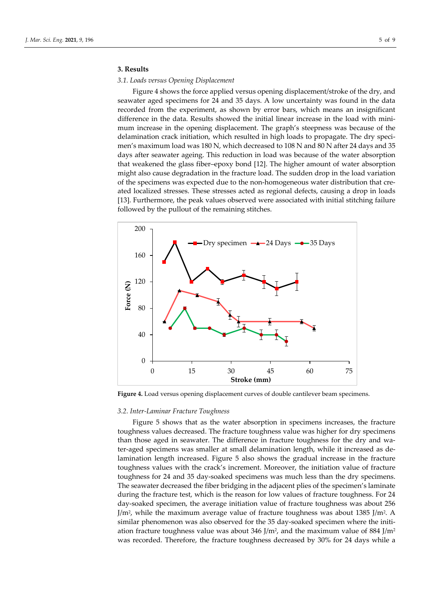## **3. Results**

#### *3.1. Loads versus Opening Displacement*

Figure 4 shows the force applied versus opening displacement/stroke of the dry, and seawater aged specimens for 24 and 35 days. A low uncertainty was found in the data recorded from the experiment, as shown by error bars, which means an insignificant difference in the data. Results showed the initial linear increase in the load with minimum increase in the opening displacement. The graph's steepness was because of the delamination crack initiation, which resulted in high loads to propagate. The dry specimen's maximum load was 180 N, which decreased to 108 N and 80 N after 24 days and 35 days after seawater ageing. This reduction in load was because of the water absorption that weakened the glass fiber–epoxy bond [12]. The higher amount of water absorption might also cause degradation in the fracture load. The sudden drop in the load variation of the specimens was expected due to the non-homogeneous water distribution that created localized stresses. These stresses acted as regional defects, causing a drop in loads [13]. Furthermore, the peak values observed were associated with initial stitching failure followed by the pullout of the remaining stitches.



**Figure 4.** Load versus opening displacement curves of double cantilever beam specimens.

#### *3.2. Inter-Laminar Fracture Toughness*

Figure 5 shows that as the water absorption in specimens increases, the fracture toughness values decreased. The fracture toughness value was higher for dry specimens than those aged in seawater. The difference in fracture toughness for the dry and water-aged specimens was smaller at small delamination length, while it increased as delamination length increased. Figure 5 also shows the gradual increase in the fracture toughness values with the crack's increment. Moreover, the initiation value of fracture toughness for 24 and 35 day-soaked specimens was much less than the dry specimens. The seawater decreased the fiber bridging in the adjacent plies of the specimen's laminate during the fracture test, which is the reason for low values of fracture toughness. For 24 day-soaked specimen, the average initiation value of fracture toughness was about 256 J/m2, while the maximum average value of fracture toughness was about 1385 J/m2. A similar phenomenon was also observed for the 35 day-soaked specimen where the initiation fracture toughness value was about 346 J/m<sup>2</sup>, and the maximum value of 884 J/m<sup>2</sup> was recorded. Therefore, the fracture toughness decreased by 30% for 24 days while a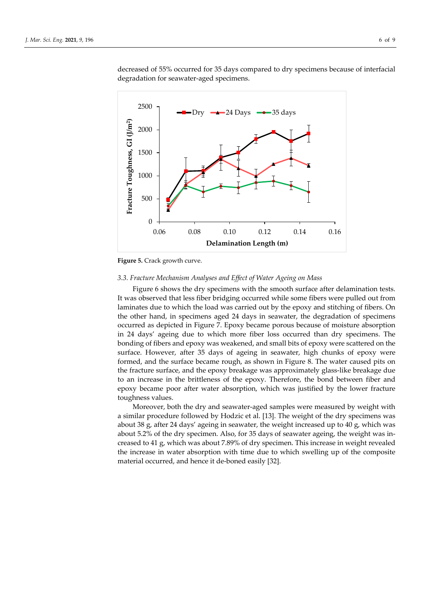

decreased of 55% occurred for 35 days compared to dry specimens because of interfacial degradation for seawater-aged specimens.

**Figure 5.** Crack growth curve.

#### *3.3. Fracture Mechanism Analyses and Effect of Water Ageing on Mass*

Figure 6 shows the dry specimens with the smooth surface after delamination tests. It was observed that less fiber bridging occurred while some fibers were pulled out from laminates due to which the load was carried out by the epoxy and stitching of fibers. On the other hand, in specimens aged 24 days in seawater, the degradation of specimens occurred as depicted in Figure 7. Epoxy became porous because of moisture absorption in 24 days' ageing due to which more fiber loss occurred than dry specimens. The bonding of fibers and epoxy was weakened, and small bits of epoxy were scattered on the surface. However, after 35 days of ageing in seawater, high chunks of epoxy were formed, and the surface became rough, as shown in Figure 8. The water caused pits on the fracture surface, and the epoxy breakage was approximately glass-like breakage due to an increase in the brittleness of the epoxy. Therefore, the bond between fiber and epoxy became poor after water absorption, which was justified by the lower fracture toughness values.

Moreover, both the dry and seawater-aged samples were measured by weight with a similar procedure followed by Hodzic et al. [13]. The weight of the dry specimens was about 38 g, after 24 days' ageing in seawater, the weight increased up to 40 g, which was about 5.2% of the dry specimen. Also, for 35 days of seawater ageing, the weight was increased to 41 g, which was about 7.89% of dry specimen. This increase in weight revealed the increase in water absorption with time due to which swelling up of the composite material occurred, and hence it de-boned easily [32].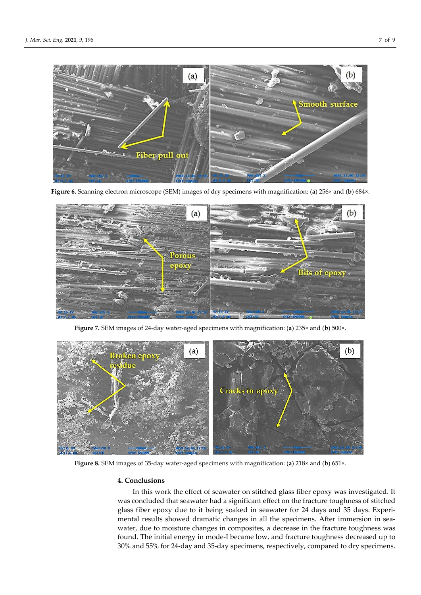

**Figure 6.** Scanning electron microscope (SEM) images of dry specimens with magnification: (**a**) 256× and (**b**) 684×.



**Figure 7.** SEM images of 24-day water-aged specimens with magnification: (**a**) 235× and (**b**) 500×.



**Figure 8.** SEM images of 35-day water-aged specimens with magnification: (**a**) 218× and (**b**) 651×.

#### **4. Conclusions**

In this work the effect of seawater on stitched glass fiber epoxy was investigated. It was concluded that seawater had a significant effect on the fracture toughness of stitched glass fiber epoxy due to it being soaked in seawater for 24 days and 35 days. Experimental results showed dramatic changes in all the specimens. After immersion in seawater, due to moisture changes in composites, a decrease in the fracture toughness was found. The initial energy in mode-I became low, and fracture toughness decreased up to 30% and 55% for 24-day and 35-day specimens, respectively, compared to dry specimens.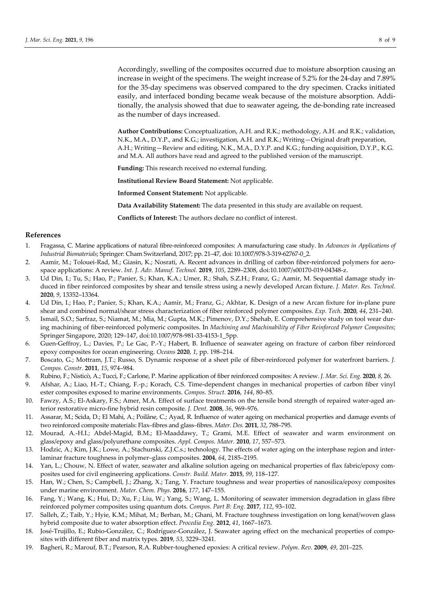Accordingly, swelling of the composites occurred due to moisture absorption causing an increase in weight of the specimens. The weight increase of 5.2% for the 24-day and 7.89% for the 35-day specimens was observed compared to the dry specimen. Cracks initiated easily, and interfaced bonding became weak because of the moisture absorption. Additionally, the analysis showed that due to seawater ageing, the de-bonding rate increased as the number of days increased.

**Author Contributions:** Conceptualization, A.H. and R.K.; methodology, A.H. and R.K.; validation, N.K., M.A., D.Y.P., and K.G.; investigation, A.H. and R.K.; Writing—Original draft preparation, A.H.; Writing—Review and editing, N.K., M.A., D.Y.P. and K.G.; funding acquisition, D.Y.P., K.G. and M.A. All authors have read and agreed to the published version of the manuscript.

**Funding:** This research received no external funding.

**Institutional Review Board Statement:** Not applicable.

**Informed Consent Statement:** Not applicable.

**Data Availability Statement:** The data presented in this study are available on request.

**Conflicts of Interest:** The authors declare no conflict of interest.

### **References**

- 1. Fragassa, C. Marine applications of natural fibre-reinforced composites: A manufacturing case study. In *Advances in Applications of Industrial Biomaterials*; Springer: Cham Switzerland, 2017; pp. 21–47, doi: 10.1007/978-3-319-62767-0\_2.
- 2. Aamir, M.; Tolouei-Rad, M.; Giasin, K.; Nosrati, A. Recent advances in drilling of carbon fiber-reinforced polymers for aerospace applications: A review. *Int. J. Adv. Manuf. Technol.* **2019**, *105*, 2289–2308, doi:10.1007/s00170-019-04348-z.
- 3. Ud Din, I.; Tu, S.; Hao, P.; Panier, S.; Khan, K.A.; Umer, R.; Shah, S.Z.H.; Franz, G.; Aamir, M. Sequential damage study induced in fiber reinforced composites by shear and tensile stress using a newly developed Arcan fixture. *J. Mater. Res. Technol.*  **2020**, *9*, 13352–13364.
- 4. Ud Din, I.; Hao, P.; Panier, S.; Khan, K.A.; Aamir, M.; Franz, G.; Akhtar, K. Design of a new Arcan fixture for in-plane pure shear and combined normal/shear stress characterization of fiber reinforced polymer composites. *Exp. Tech.* **2020**, *44*, 231–240.
- 5. Ismail, S.O.; Sarfraz, S.; Niamat, M.; Mia, M.; Gupta, M.K.; Pimenov, D.Y.; Shehab, E. Comprehensive study on tool wear during machining of fiber-reinforced polymeric composites. In *Machining and Machinability of Fiber Reinforced Polymer Composites*; Springer Singapore, 2020; 129–147, doi:10.1007/978-981-33-4153-1\_5pp.
- 6. Guen-Geffroy, L.; Davies, P.; Le Gac, P.-Y.; Habert, B. Influence of seawater ageing on fracture of carbon fiber reinforced epoxy composites for ocean engineering. *Oceans* **2020**, *1*, pp. 198–214.
- 7. Boscato, G.; Mottram, J.T.; Russo, S. Dynamic response of a sheet pile of fiber-reinforced polymer for waterfront barriers. *J. Compos. Constr.* **2011**, *15*, 974–984.
- 8. Rubino, F.; Nisticò, A.; Tucci, F.; Carlone, P. Marine application of fiber reinforced composites: A review. *J. Mar. Sci. Eng.* **2020**, *8*, 26.
- 9. Afshar, A.; Liao, H.-T.; Chiang, F.-p.; Korach, C.S. Time-dependent changes in mechanical properties of carbon fiber vinyl ester composites exposed to marine environments. *Compos. Struct.* **2016**, *144*, 80–85.
- 10. Fawzy, A.S.; El-Askary, F.S.; Amer, M.A. Effect of surface treatments on the tensile bond strength of repaired water-aged anterior restorative micro-fine hybrid resin composite. *J. Dent.* **2008**, *36*, 969–976.
- 11. Assarar, M.; Scida, D.; El Mahi, A.; Poilâne, C.; Ayad, R. Influence of water ageing on mechanical properties and damage events of two reinforced composite materials: Flax–fibres and glass–fibres. *Mater. Des.* **2011**, *32*, 788–795.
- 12. Mourad, A.-H.I.; Abdel-Magid, B.M.; El-Maaddawy, T.; Grami, M.E. Effect of seawater and warm environment on glass/epoxy and glass/polyurethane composites. *Appl. Compos. Mater.* **2010**, *17*, 557–573.
- 13. Hodzic, A.; Kim, J.K.; Lowe, A.; Stachurski, Z.J.C.s.; technology. The effects of water aging on the interphase region and interlaminar fracture toughness in polymer–glass composites. **2004**, *64*, 2185–2195.
- 14. Yan, L.; Chouw, N. Effect of water, seawater and alkaline solution ageing on mechanical properties of flax fabric/epoxy composites used for civil engineering applications. *Constr. Build. Mater.* **2015**, *99*, 118–127.
- 15. Han, W.; Chen, S.; Campbell, J.; Zhang, X.; Tang, Y. Fracture toughness and wear properties of nanosilica/epoxy composites under marine environment. *Mater. Chem. Phys.* **2016**, *177*, 147–155.
- 16. Fang, Y.; Wang, K.; Hui, D.; Xu, F.; Liu, W.; Yang, S.; Wang, L. Monitoring of seawater immersion degradation in glass fibre reinforced polymer composites using quantum dots. *Compos. Part B: Eng.* **2017**, *112*, 93–102.
- 17. Salleh, Z.; Taib, Y.; Hyie, K.M.; Mihat, M.; Berhan, M.; Ghani, M. Fracture toughness investigation on long kenaf/woven glass hybrid composite due to water absorption effect. *Procedia Eng.* **2012**, *41*, 1667–1673.
- 18. José-Trujillo, E.; Rubio-González, C.; Rodríguez-González, J. Seawater ageing effect on the mechanical properties of composites with different fiber and matrix types. **2019**, *53*, 3229–3241.
- 19. Bagheri, R.; Marouf, B.T.; Pearson, R.A. Rubber-toughened epoxies: A critical review. *Polym. Rev.* **2009**, *49*, 201–225.